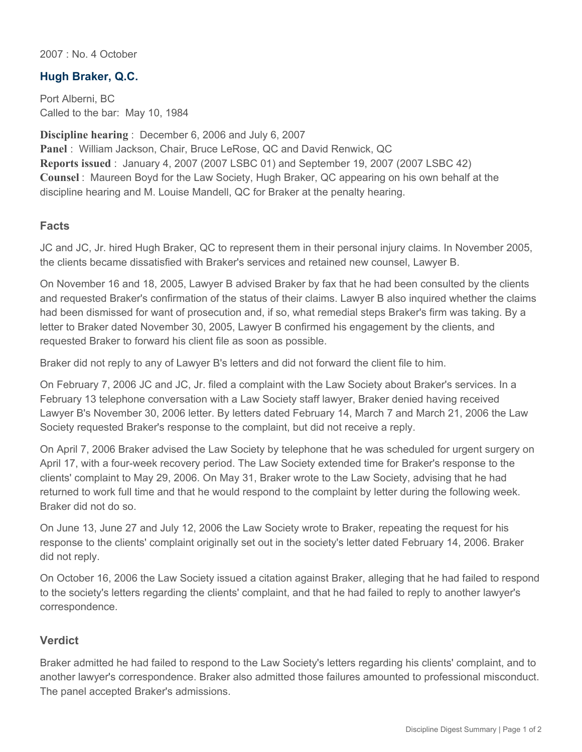2007 : No. 4 October

## **Hugh Braker, Q.C.**

Port Alberni, BC Called to the bar: May 10, 1984

**Discipline hearing** : December 6, 2006 and July 6, 2007 **Panel** : William Jackson, Chair, Bruce LeRose, QC and David Renwick, QC **Reports issued** : January 4, 2007 (2007 LSBC 01) and September 19, 2007 (2007 LSBC 42) **Counsel** : Maureen Boyd for the Law Society, Hugh Braker, QC appearing on his own behalf at the discipline hearing and M. Louise Mandell, QC for Braker at the penalty hearing.

## **Facts**

JC and JC, Jr. hired Hugh Braker, QC to represent them in their personal injury claims. In November 2005, the clients became dissatisfied with Braker's services and retained new counsel, Lawyer B.

On November 16 and 18, 2005, Lawyer B advised Braker by fax that he had been consulted by the clients and requested Braker's confirmation of the status of their claims. Lawyer B also inquired whether the claims had been dismissed for want of prosecution and, if so, what remedial steps Braker's firm was taking. By a letter to Braker dated November 30, 2005, Lawyer B confirmed his engagement by the clients, and requested Braker to forward his client file as soon as possible.

Braker did not reply to any of Lawyer B's letters and did not forward the client file to him.

On February 7, 2006 JC and JC, Jr. filed a complaint with the Law Society about Braker's services. In a February 13 telephone conversation with a Law Society staff lawyer, Braker denied having received Lawyer B's November 30, 2006 letter. By letters dated February 14, March 7 and March 21, 2006 the Law Society requested Braker's response to the complaint, but did not receive a reply.

On April 7, 2006 Braker advised the Law Society by telephone that he was scheduled for urgent surgery on April 17, with a four-week recovery period. The Law Society extended time for Braker's response to the clients' complaint to May 29, 2006. On May 31, Braker wrote to the Law Society, advising that he had returned to work full time and that he would respond to the complaint by letter during the following week. Braker did not do so.

On June 13, June 27 and July 12, 2006 the Law Society wrote to Braker, repeating the request for his response to the clients' complaint originally set out in the society's letter dated February 14, 2006. Braker did not reply.

On October 16, 2006 the Law Society issued a citation against Braker, alleging that he had failed to respond to the society's letters regarding the clients' complaint, and that he had failed to reply to another lawyer's correspondence.

## **Verdict**

Braker admitted he had failed to respond to the Law Society's letters regarding his clients' complaint, and to another lawyer's correspondence. Braker also admitted those failures amounted to professional misconduct. The panel accepted Braker's admissions.